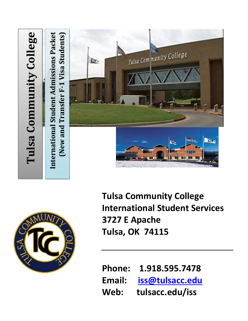# Tulsa Community College International Student Admissions Packet **International Student Admissions Packet Tulsa C[ommunity College](http://www.google.com/url?sa=i&rct=j&q=tulsa+community+college&source=images&cd=&cad=rja&docid=MlJ2pug33kJzgM&tbnid=EpOF0-n4dGML2M:&ved=0CAUQjRw&url=http://www.newson6.com/story/14518063/deadline-approaching-for-free-student-tuition-at-tulsa-community-college&ei=cubdUYycA8W5qQHR54DgAQ&bvm=bv.48705608,d.aWc&psig=AFQjCNG8gZrIY_Ll5b0fz4Oq-uMS0c145A&ust=1373582023486458) F-1 Visa Students)** New and Transfer F-1 Visa Students) Tulsa Community College iz. **(New and Transfer** Ra BIJ DO JIB



**Tulsa Community College International Student Services 3727 E Apache Tulsa, OK 74115**

**Phone: 1.918.595.7478 Email: [iss@tulsacc.edu](mailto:iss@tulsacc.edu) Web: tulsacc.edu/iss**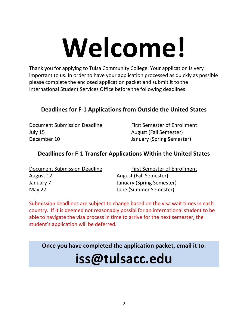# **Welcome!**

Thank you for applying to Tulsa Community College. Your application is very important to us. In order to have your application processed as quickly as possible please complete the enclosed application packet and submit it to the International Student Services Office before the following deadlines:

## **Deadlines for F-1 Applications from Outside the United States**

Document Submission Deadline First Semester of Enrollment July 15 August (Fall Semester) December 10 January (Spring Semester)

## **Deadlines for F-1 Transfer Applications Within the United States**

| Document Submission Deadline | <b>First Semester of Enrollment</b> |
|------------------------------|-------------------------------------|
| August 12                    | <b>August (Fall Semester)</b>       |
| January 7                    | January (Spring Semester)           |
| May 27                       | June (Summer Semester)              |

Submission deadlines are subject to change based on the visa wait times in each country. If it is deemed not reasonably possibl for an international student to be able to navigate the visa process in time to arrive for the next semester, the student's application will be deferred.

**Once you have completed the application packet, email it to:**

# **iss@tulsacc.edu**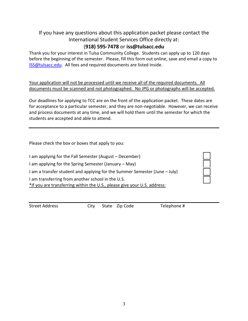## If you have any questions about this application packet please contact the International Student Services Office directly at:

## (**918) 595-7478** or **iss@tulsacc.edu**

Thank you for your interest in Tulsa Community College. Students can apply up to 120 days before the beginning of the semester. Please, fill this form out online, save and email a copy to [ISS@tulsacc.edu.](mailto:ISS@tulsacc.edu) All fees and required documents are listed inside.

Your application will not be processed until we receive all of the required documents. All documents must be scanned and not photographed. No JPG or photographs will be accepted.

Our deadlines for applying to TCC are on the front of the application packet. These dates are for acceptance to a particular semester, and they are non-negotiable. However, we can receive and process documents at any time, and we will hold them until the semester for which the students are accepted and able to attend.

Please check the box or boxes that apply to you:

I am applying for the Fall Semester (August – December) I am applying for the Spring Semester (January – May) I am a transfer student and applying for the Summer Semester (June – July) I am transferring from another school in the U.S. \*If you are transferring within the U.S., please give your U.S. address:

Street Address City State Zip Code Telephone #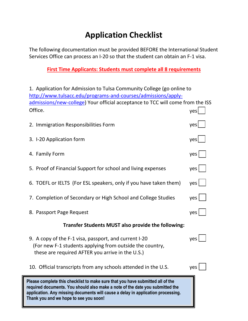# **Application Checklist**

The following documentation must be provided BEFORE the International Student Services Office can process an I-20 so that the student can obtain an F-1 visa.

## **First Time Applicants: Students must complete all 8 requirements**

| 1. Application for Admission to Tulsa Community College (go online to                                                                                                                                                                                                                         |                       |
|-----------------------------------------------------------------------------------------------------------------------------------------------------------------------------------------------------------------------------------------------------------------------------------------------|-----------------------|
| http://www.tulsacc.edu/programs-and-courses/admissions/apply-<br>admissions/new-college) Your official acceptance to TCC will come from the ISS                                                                                                                                               |                       |
| Office.                                                                                                                                                                                                                                                                                       | yes                   |
| 2. Immigration Responsibilities Form                                                                                                                                                                                                                                                          | yes                   |
| 3. I-20 Application form                                                                                                                                                                                                                                                                      | yes                   |
| 4. Family Form                                                                                                                                                                                                                                                                                | $yes$                 |
| 5. Proof of Financial Support for school and living expenses                                                                                                                                                                                                                                  | $yes \mid \cdot \mid$ |
| 6. TOEFL or IELTS (For ESL speakers, only if you have taken them)                                                                                                                                                                                                                             | $yes$                 |
| 7. Completion of Secondary or High School and College Studies                                                                                                                                                                                                                                 | $yes \mid \cdot \mid$ |
| 8. Passport Page Request                                                                                                                                                                                                                                                                      | yes                   |
| <b>Transfer Students MUST also provide the following:</b>                                                                                                                                                                                                                                     |                       |
| 9. A copy of the F-1 visa, passport, and current I-20<br>(For new F-1 students applying from outside the country,<br>these are required AFTER you arrive in the U.S.)                                                                                                                         | ves l                 |
| 10. Official transcripts from any schools attended in the U.S.                                                                                                                                                                                                                                | yes                   |
| Please complete this checklist to make sure that you have submitted all of the<br>required documents. You should also make a note of the date you submitted the<br>application. Any missing documents will cause a delay in application processing.<br>Thank you and we hope to see you soon! |                       |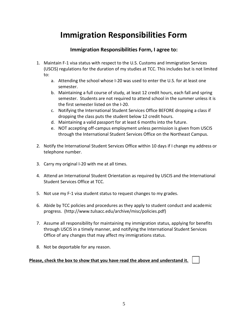# **Immigration Responsibilities Form**

## **Immigration Responsibilities Form, I agree to:**

- 1. Maintain F-1 visa status with respect to the U.S. Customs and Immigration Services (USCIS) regulations for the duration of my studies at TCC. This includes but is not limited to:
	- a. Attending the school whose I-20 was used to enter the U.S. for at least one semester.
	- b. Maintaining a full course of study, at least 12 credit hours, each fall and spring semester. Students are not required to attend school in the summer unless it is the first semester listed on the I-20.
	- c. Notifying the International Student Services Office BEFORE dropping a class if dropping the class puts the student below 12 credit hours.
	- d. Maintaining a valid passport for at least 6 months into the future.
	- e. NOT accepting off-campus employment unless permission is given from USCIS through the International Student Services Office on the Northeast Campus.
- 2. Notify the International Student Services Office within 10 days if I change my address or telephone number.
- 3. Carry my original I-20 with me at all times.
- 4. Attend an International Student Orientation as required by USCIS and the International Student Services Office at TCC.
- 5. Not use my F-1 visa student status to request changes to my grades.
- 6. Abide by TCC policies and procedures as they apply to student conduct and academic progress. (http://www.tulsacc.edu/archive/misc/policies.pdf)
- 7. Assume all responsibility for maintaining my immigration status, applying for benefits through USCIS in a timely manner, and notifying the International Student Services Office of any changes that may affect my immigrations status.
- 8. Not be deportable for any reason.

#### Please, check the box to show that you have read the above and understand it.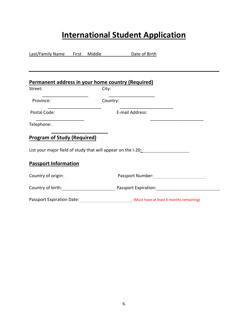# **International Student Application**

| Last/Family Name First Middle      |          | Date of Birth                                                                                                                                                                                                                 |
|------------------------------------|----------|-------------------------------------------------------------------------------------------------------------------------------------------------------------------------------------------------------------------------------|
|                                    |          |                                                                                                                                                                                                                               |
|                                    |          |                                                                                                                                                                                                                               |
|                                    |          | Permanent address in your home country (Required)                                                                                                                                                                             |
| Street:                            | City:    |                                                                                                                                                                                                                               |
| Province:                          | Country: |                                                                                                                                                                                                                               |
| Postal Code:                       |          | E-mail Address:                                                                                                                                                                                                               |
| Telephone:                         |          |                                                                                                                                                                                                                               |
| <b>Program of Study (Required)</b> |          |                                                                                                                                                                                                                               |
|                                    |          | List your major field of study that will appear on the I-20:                                                                                                                                                                  |
| <b>Passport Information</b>        |          |                                                                                                                                                                                                                               |
| Country of origin:                 |          | Passport Number: The Contract of the Contract of the Contract of the Contract of the Contract of the Contract of the Contract of the Contract of the Contract of the Contract of the Contract of the Contract of the Contract |
|                                    |          | Country of birth: example and the Passport Expiration: Expiration:                                                                                                                                                            |
| Passport Expiration Date:          |          | . (Must have at least 6 months remaining)                                                                                                                                                                                     |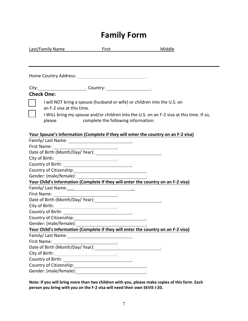# **Family Form**

| Last/Family Name                                          | <u>First Participation of the state of the state of the state of the state of the state of the state of the state of the state of the state of the state of the state of the state of the state of the state of the state of the</u> | <u>Middle</u>                                                                            |
|-----------------------------------------------------------|--------------------------------------------------------------------------------------------------------------------------------------------------------------------------------------------------------------------------------------|------------------------------------------------------------------------------------------|
|                                                           |                                                                                                                                                                                                                                      |                                                                                          |
|                                                           |                                                                                                                                                                                                                                      |                                                                                          |
|                                                           |                                                                                                                                                                                                                                      |                                                                                          |
| <b>Check One:</b>                                         |                                                                                                                                                                                                                                      |                                                                                          |
| an F-2 visa at this time.                                 |                                                                                                                                                                                                                                      | I will NOT bring a spouse (husband or wife) or children into the U.S. on                 |
| please                                                    | complete the following information:                                                                                                                                                                                                  | I WILL bring my spouse and/or children into the U.S. on an F-2 visa at this time. If so, |
|                                                           |                                                                                                                                                                                                                                      | Your Spouse's Information (Complete if they will enter the country on an F-2 visa)       |
|                                                           |                                                                                                                                                                                                                                      |                                                                                          |
|                                                           |                                                                                                                                                                                                                                      |                                                                                          |
|                                                           |                                                                                                                                                                                                                                      |                                                                                          |
|                                                           |                                                                                                                                                                                                                                      |                                                                                          |
| Country of Citizenship:<br><u>Country of Citizenship:</u> |                                                                                                                                                                                                                                      |                                                                                          |
|                                                           |                                                                                                                                                                                                                                      |                                                                                          |
|                                                           |                                                                                                                                                                                                                                      | Your Child's Information (Complete if they will enter the country on an F-2 visa)        |
|                                                           |                                                                                                                                                                                                                                      |                                                                                          |
|                                                           |                                                                                                                                                                                                                                      |                                                                                          |
|                                                           |                                                                                                                                                                                                                                      |                                                                                          |
|                                                           |                                                                                                                                                                                                                                      |                                                                                          |
|                                                           |                                                                                                                                                                                                                                      |                                                                                          |
|                                                           |                                                                                                                                                                                                                                      |                                                                                          |
|                                                           |                                                                                                                                                                                                                                      |                                                                                          |
|                                                           |                                                                                                                                                                                                                                      | Your Child's Information (Complete if they will enter the country on an F-2 visa)        |
|                                                           |                                                                                                                                                                                                                                      |                                                                                          |
|                                                           |                                                                                                                                                                                                                                      |                                                                                          |
|                                                           |                                                                                                                                                                                                                                      |                                                                                          |
| City of Birth:                                            | <u> 1989 - Johann Barbara, martin eta politikar</u>                                                                                                                                                                                  |                                                                                          |
|                                                           |                                                                                                                                                                                                                                      |                                                                                          |
|                                                           |                                                                                                                                                                                                                                      |                                                                                          |
|                                                           |                                                                                                                                                                                                                                      |                                                                                          |

**Note: If you will bring more than two children with you, please make copies of this form. Each person you bring with you on the F-2 visa will need their own SEVIS I-20.**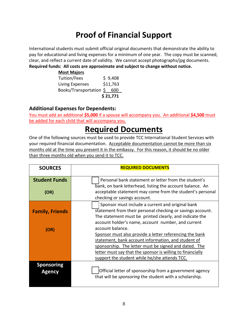# **Proof of Financial Support**

International students must submit official original documents that demonstrate the ability to pay for educational and living expenses for a minimum of one year. The copy must be scanned, clear, and reflect a current date of validity. We cannot accept photographs/jpg documents.

#### **Required funds: All costs are approximate and subject to change without notice.**

| <b>Most Majors</b>      |          |
|-------------------------|----------|
| Tuition/Fees            | \$9,408  |
| Living Expenses         | \$11,763 |
| Books/Transportation \$ | 600      |
|                         | \$21,771 |

## **Additional Expenses for Dependents:**

You must add an additional **\$5,000** if a spouse will accompany you. An additional **\$4,500** must be added for each child that will accompany you.

# **Required Documents**

One of the following sources must be used to provide TCC International Student Services with your required financial documentation. Acceptable documentation cannot be more than six months old at the time you present it in the embassy. For this reason, it should be no older than three months old when you send it to TCC.

| <b>SOURCES</b>                     | <b>REQUIRED DOCUMENTS</b>                                                                                                                                                                                                                                                                                              |
|------------------------------------|------------------------------------------------------------------------------------------------------------------------------------------------------------------------------------------------------------------------------------------------------------------------------------------------------------------------|
| <b>Student Funds</b>               | Personal bank statement or letter from the student's                                                                                                                                                                                                                                                                   |
| (OR)                               | bank, on bank letterhead, listing the account balance. An<br>acceptable statement may come from the student's personal<br>checking or savings account.                                                                                                                                                                 |
| <b>Family, Friends</b>             | Sponsor must include a current and original bank<br>statement from their personal checking or savings account.<br>The statement must be printed clearly, and indicate the                                                                                                                                              |
| (OR)                               | account holder's name, account number, and current<br>account balance.<br>Sponsor must also provide a letter referencing the bank<br>statement, bank account information, and student of<br>sponsorship. The letter must be signed and dated. The<br><u>letter must say that the sponsor is willing to financially</u> |
| <b>Sponsoring</b><br><b>Agency</b> | support the student while he/she attends TCC.<br>Official letter of sponsorship from a government agency<br>that will be sponsoring the student with a scholarship.                                                                                                                                                    |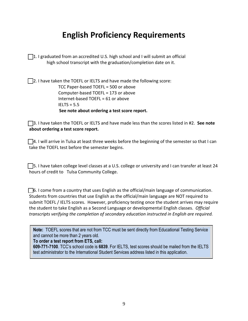# **English Proficiency Requirements**

 $\Box$ 1. I graduated from an accredited U.S. high school and I will submit an official high school transcript with the graduation/completion date on it.

 $\Box$ 2. I have taken the TOEFL or IELTS and have made the following score: TCC Paper-based TOEFL = 500 or above Computer-based TOEFL = 173 or above Internet-based TOEFL = 61 or above IELTS = 5.5 **See note about ordering a test score report.**

☐3. I have taken the TOEFL or IELTS and have made less than the scores listed in #2. **See note about ordering a test score report.**

 $\Box$ 4. I will arrive in Tulsa at least three weeks before the beginning of the semester so that I can take the TOEFL test before the semester begins.

☐5. I have taken college level classes at a U.S. college or university and I can transfer at least 24 hours of credit to Tulsa Community College.

 $\Box$ 6. I come from a country that uses English as the official/main language of communication. Students from countries that use English as the official/main language are NOT required to submit TOEFL / IELTS scores. However, proficiency testing once the student arrives may require the student to take English as a Second Language or developmental English classes. *Official transcripts verifying the completion of secondary education instructed in English are required.*

**Note:** TOEFL scores that are not from TCC must be sent directly from Educational Testing Service and cannot be more than 2 years old.

**To order a test report from ETS, call:** 

**609-771-7100**. TCC's school code is **6839**. For IELTS, test scores should be mailed from the IELTS test administrator to the International Student Services address listed in this application.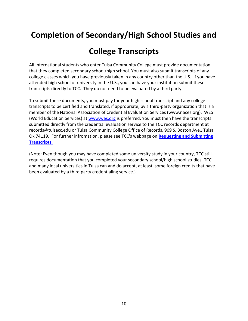# **Completion of Secondary/High School Studies and**

# **College Transcripts**

All International students who enter Tulsa Community College must provide documentation that they completed secondary school/high school. You must also submit transcripts of any college classes which you have previously taken in any country other than the U.S. If you have attended high school or university in the U.S., you can have your institution submit these transcripts directly to TCC. They do not need to be evaluated by a third party.

To submit these documents, you must pay for your high school transcript and any college transcripts to be certified and translated, if appropriate, by a third-party organization that is a member of the National Association of Credential Evaluation Services (www.naces.org). WES (World Education Services) at [www.wes.org](http://www.wes.org/) is preferred. You must then have the transcripts submitted directly from the credential evaluation service to the TCC records department at records@tulsacc.edu or Tulsa Community College Office of Records, 909 S. Boston Ave., Tulsa Ok 74119. For further infromation, please see TCC's webpage on **[Requesting and Submitting](https://www.tulsacc.edu/student-resources/student-records/requesting-and-submitting-transcripts)  [Transcripts.](https://www.tulsacc.edu/student-resources/student-records/requesting-and-submitting-transcripts)**

(Note: Even though you may have completed some university study in your country, TCC still requires documentation that you completed your secondary school/high school studies. TCC and many local universities in Tulsa can and do accept, at least, some foreign credits that have been evaluated by a third party credentialing service.)